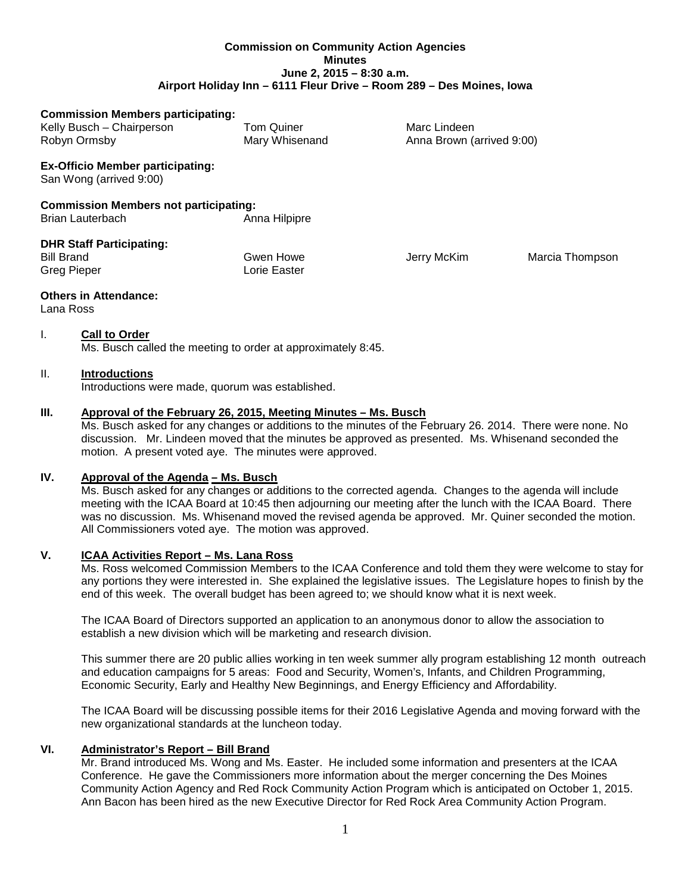#### **Commission on Community Action Agencies Minutes June 2, 2015 – 8:30 a.m. Airport Holiday Inn – 6111 Fleur Drive – Room 289 – Des Moines, Iowa**

| <b>Commission Members participating:</b>                                |                           |                           |                 |
|-------------------------------------------------------------------------|---------------------------|---------------------------|-----------------|
| Kelly Busch - Chairperson                                               | Tom Quiner                | Marc Lindeen              |                 |
| Robyn Ormsby                                                            | Mary Whisenand            | Anna Brown (arrived 9:00) |                 |
| <b>Ex-Officio Member participating:</b><br>San Wong (arrived 9:00)      |                           |                           |                 |
| <b>Commission Members not participating:</b><br><b>Brian Lauterbach</b> | Anna Hilpipre             |                           |                 |
| <b>DHR Staff Participating:</b><br><b>Bill Brand</b><br>Greg Pieper     | Gwen Howe<br>Lorie Easter | Jerry McKim               | Marcia Thompson |
|                                                                         |                           |                           |                 |

#### **Others in Attendance:**

Lana Ross

#### I. **Call to Order**

Ms. Busch called the meeting to order at approximately 8:45.

#### II. **Introductions**

Introductions were made, quorum was established.

#### **III. Approval of the February 26, 2015, Meeting Minutes – Ms. Busch**

Ms. Busch asked for any changes or additions to the minutes of the February 26. 2014. There were none. No discussion. Mr. Lindeen moved that the minutes be approved as presented. Ms. Whisenand seconded the motion. A present voted aye. The minutes were approved.

## **IV. Approval of the Agenda – Ms. Busch**

Ms. Busch asked for any changes or additions to the corrected agenda. Changes to the agenda will include meeting with the ICAA Board at 10:45 then adjourning our meeting after the lunch with the ICAA Board. There was no discussion. Ms. Whisenand moved the revised agenda be approved. Mr. Quiner seconded the motion. All Commissioners voted aye. The motion was approved.

#### **V. ICAA Activities Report – Ms. Lana Ross**

Ms. Ross welcomed Commission Members to the ICAA Conference and told them they were welcome to stay for any portions they were interested in. She explained the legislative issues. The Legislature hopes to finish by the end of this week. The overall budget has been agreed to; we should know what it is next week.

The ICAA Board of Directors supported an application to an anonymous donor to allow the association to establish a new division which will be marketing and research division.

This summer there are 20 public allies working in ten week summer ally program establishing 12 month outreach and education campaigns for 5 areas: Food and Security, Women's, Infants, and Children Programming, Economic Security, Early and Healthy New Beginnings, and Energy Efficiency and Affordability.

The ICAA Board will be discussing possible items for their 2016 Legislative Agenda and moving forward with the new organizational standards at the luncheon today.

#### **VI. Administrator's Report – Bill Brand**

Mr. Brand introduced Ms. Wong and Ms. Easter. He included some information and presenters at the ICAA Conference. He gave the Commissioners more information about the merger concerning the Des Moines Community Action Agency and Red Rock Community Action Program which is anticipated on October 1, 2015. Ann Bacon has been hired as the new Executive Director for Red Rock Area Community Action Program.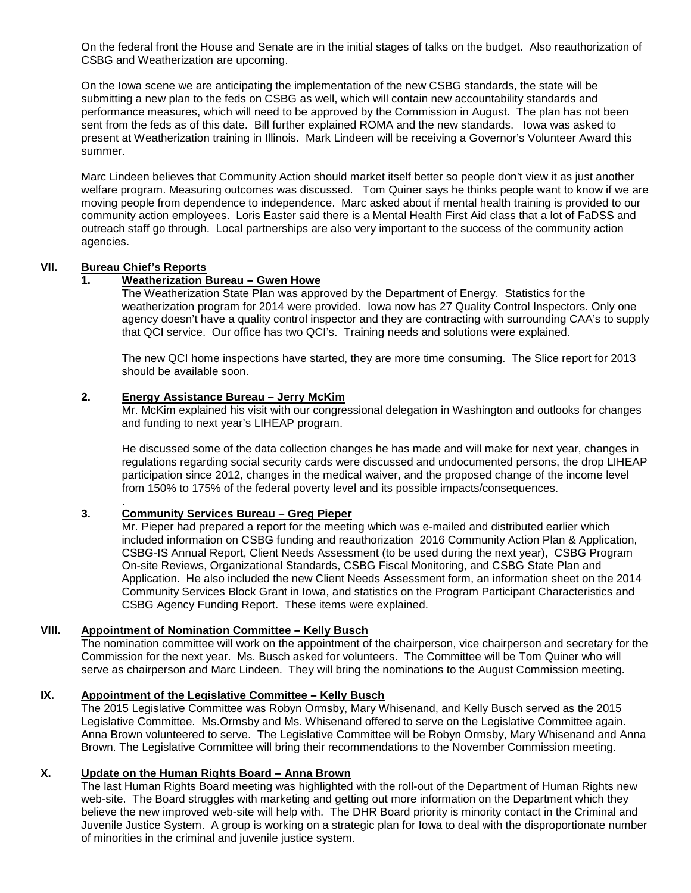On the federal front the House and Senate are in the initial stages of talks on the budget. Also reauthorization of CSBG and Weatherization are upcoming.

On the Iowa scene we are anticipating the implementation of the new CSBG standards, the state will be submitting a new plan to the feds on CSBG as well, which will contain new accountability standards and performance measures, which will need to be approved by the Commission in August. The plan has not been sent from the feds as of this date. Bill further explained ROMA and the new standards. Iowa was asked to present at Weatherization training in Illinois. Mark Lindeen will be receiving a Governor's Volunteer Award this summer.

Marc Lindeen believes that Community Action should market itself better so people don't view it as just another welfare program. Measuring outcomes was discussed. Tom Quiner says he thinks people want to know if we are moving people from dependence to independence. Marc asked about if mental health training is provided to our community action employees. Loris Easter said there is a Mental Health First Aid class that a lot of FaDSS and outreach staff go through. Local partnerships are also very important to the success of the community action agencies.

# **VII. Bureau Chief's Reports**

## **1. Weatherization Bureau – Gwen Howe**

The Weatherization State Plan was approved by the Department of Energy. Statistics for the weatherization program for 2014 were provided. Iowa now has 27 Quality Control Inspectors. Only one agency doesn't have a quality control inspector and they are contracting with surrounding CAA's to supply that QCI service. Our office has two QCI's. Training needs and solutions were explained.

The new QCI home inspections have started, they are more time consuming. The Slice report for 2013 should be available soon.

## **2. Energy Assistance Bureau – Jerry McKim**

Mr. McKim explained his visit with our congressional delegation in Washington and outlooks for changes and funding to next year's LIHEAP program.

He discussed some of the data collection changes he has made and will make for next year, changes in regulations regarding social security cards were discussed and undocumented persons, the drop LIHEAP participation since 2012, changes in the medical waiver, and the proposed change of the income level from 150% to 175% of the federal poverty level and its possible impacts/consequences.

#### . **3. Community Services Bureau – Greg Pieper**

Mr. Pieper had prepared a report for the meeting which was e-mailed and distributed earlier which included information on CSBG funding and reauthorization 2016 Community Action Plan & Application, CSBG-IS Annual Report, Client Needs Assessment (to be used during the next year), CSBG Program On-site Reviews, Organizational Standards, CSBG Fiscal Monitoring, and CSBG State Plan and Application. He also included the new Client Needs Assessment form, an information sheet on the 2014 Community Services Block Grant in Iowa, and statistics on the Program Participant Characteristics and CSBG Agency Funding Report. These items were explained.

## **VIII. Appointment of Nomination Committee – Kelly Busch**

The nomination committee will work on the appointment of the chairperson, vice chairperson and secretary for the Commission for the next year. Ms. Busch asked for volunteers. The Committee will be Tom Quiner who will serve as chairperson and Marc Lindeen. They will bring the nominations to the August Commission meeting.

#### **IX. Appointment of the Legislative Committee – Kelly Busch**

The 2015 Legislative Committee was Robyn Ormsby, Mary Whisenand, and Kelly Busch served as the 2015 Legislative Committee. Ms.Ormsby and Ms. Whisenand offered to serve on the Legislative Committee again. Anna Brown volunteered to serve. The Legislative Committee will be Robyn Ormsby, Mary Whisenand and Anna Brown. The Legislative Committee will bring their recommendations to the November Commission meeting.

## **X. Update on the Human Rights Board – Anna Brown**

The last Human Rights Board meeting was highlighted with the roll-out of the Department of Human Rights new web-site. The Board struggles with marketing and getting out more information on the Department which they believe the new improved web-site will help with. The DHR Board priority is minority contact in the Criminal and Juvenile Justice System. A group is working on a strategic plan for Iowa to deal with the disproportionate number of minorities in the criminal and juvenile justice system.